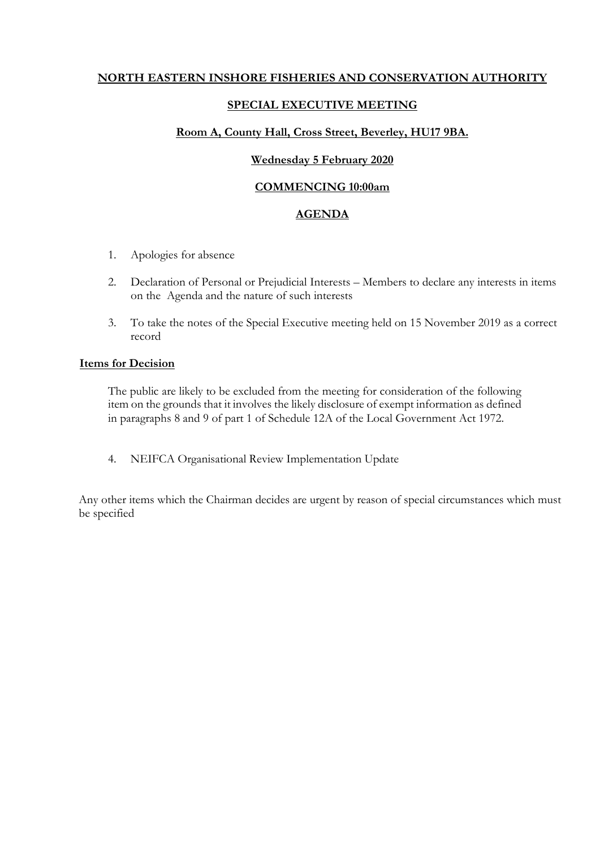# **NORTH EASTERN INSHORE FISHERIES AND CONSERVATION AUTHORITY**

## **SPECIAL EXECUTIVE MEETING**

### **Room A, County Hall, Cross Street, Beverley, HU17 9BA.**

#### **Wednesday 5 February 2020**

#### **COMMENCING 10:00am**

#### **AGENDA**

- 1. Apologies for absence
- 2. Declaration of Personal or Prejudicial Interests Members to declare any interests in items on the Agenda and the nature of such interests
- 3. To take the notes of the Special Executive meeting held on 15 November 2019 as a correct record

#### **Items for Decision**

The public are likely to be excluded from the meeting for consideration of the following item on the grounds that it involves the likely disclosure of exempt information as defined in paragraphs 8 and 9 of part 1 of Schedule 12A of the Local Government Act 1972.

4. NEIFCA Organisational Review Implementation Update

Any other items which the Chairman decides are urgent by reason of special circumstances which must be specified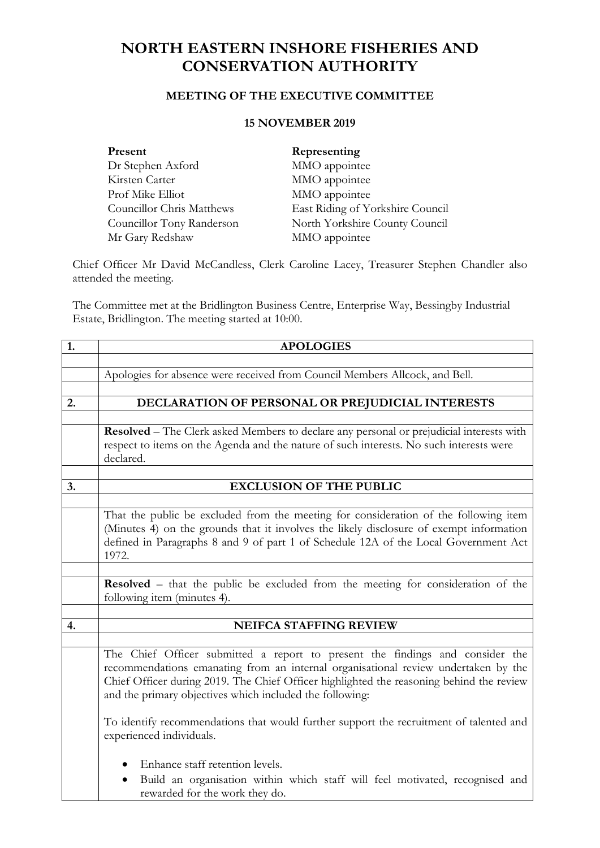# **NORTH EASTERN INSHORE FISHERIES AND CONSERVATION AUTHORITY**

# **MEETING OF THE EXECUTIVE COMMITTEE**

# **15 NOVEMBER 2019**

| Present                   | Representing                     |
|---------------------------|----------------------------------|
| Dr Stephen Axford         | MMO appointee                    |
| Kirsten Carter            | MMO appointee                    |
| Prof Mike Elliot          | MMO appointee                    |
| Councillor Chris Matthews | East Riding of Yorkshire Council |
| Councillor Tony Randerson | North Yorkshire County Council   |
| Mr Gary Redshaw           | MMO appointee                    |

Chief Officer Mr David McCandless, Clerk Caroline Lacey, Treasurer Stephen Chandler also attended the meeting.

The Committee met at the Bridlington Business Centre, Enterprise Way, Bessingby Industrial Estate, Bridlington. The meeting started at 10:00.

| 1. | <b>APOLOGIES</b>                                                                                                                                                                                                                                                                                                            |
|----|-----------------------------------------------------------------------------------------------------------------------------------------------------------------------------------------------------------------------------------------------------------------------------------------------------------------------------|
|    |                                                                                                                                                                                                                                                                                                                             |
|    | Apologies for absence were received from Council Members Allcock, and Bell.                                                                                                                                                                                                                                                 |
|    |                                                                                                                                                                                                                                                                                                                             |
| 2. | DECLARATION OF PERSONAL OR PREJUDICIAL INTERESTS                                                                                                                                                                                                                                                                            |
|    |                                                                                                                                                                                                                                                                                                                             |
|    | Resolved - The Clerk asked Members to declare any personal or prejudicial interests with                                                                                                                                                                                                                                    |
|    | respect to items on the Agenda and the nature of such interests. No such interests were<br>declared.                                                                                                                                                                                                                        |
|    |                                                                                                                                                                                                                                                                                                                             |
| 3. | <b>EXCLUSION OF THE PUBLIC</b>                                                                                                                                                                                                                                                                                              |
|    |                                                                                                                                                                                                                                                                                                                             |
|    | That the public be excluded from the meeting for consideration of the following item<br>(Minutes 4) on the grounds that it involves the likely disclosure of exempt information<br>defined in Paragraphs 8 and 9 of part 1 of Schedule 12A of the Local Government Act<br>1972.                                             |
|    |                                                                                                                                                                                                                                                                                                                             |
|    | Resolved - that the public be excluded from the meeting for consideration of the<br>following item (minutes 4).                                                                                                                                                                                                             |
|    |                                                                                                                                                                                                                                                                                                                             |
| 4. | <b>NEIFCA STAFFING REVIEW</b>                                                                                                                                                                                                                                                                                               |
|    |                                                                                                                                                                                                                                                                                                                             |
|    | The Chief Officer submitted a report to present the findings and consider the<br>recommendations emanating from an internal organisational review undertaken by the<br>Chief Officer during 2019. The Chief Officer highlighted the reasoning behind the review<br>and the primary objectives which included the following: |
|    | To identify recommendations that would further support the recruitment of talented and<br>experienced individuals.                                                                                                                                                                                                          |
|    | Enhance staff retention levels.<br>Build an organisation within which staff will feel motivated, recognised and<br>rewarded for the work they do.                                                                                                                                                                           |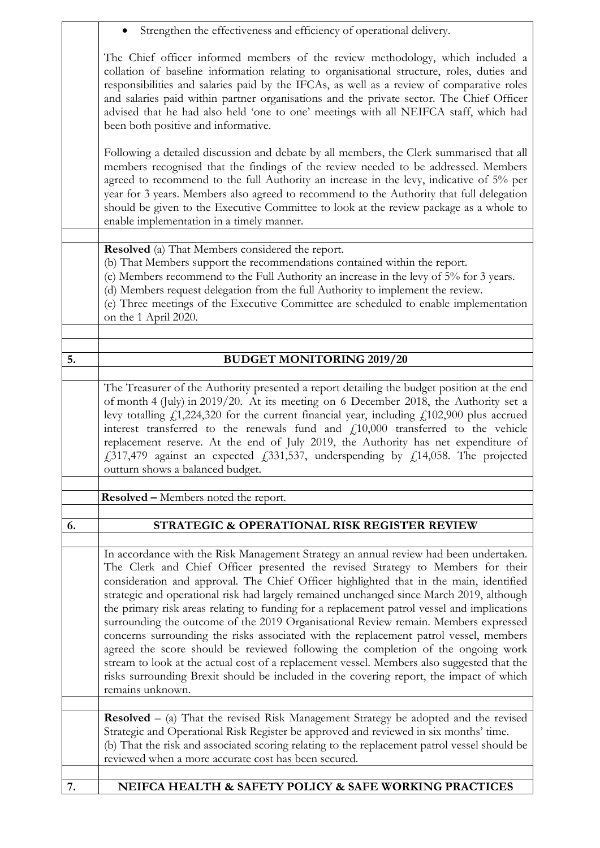|    | Strengthen the effectiveness and efficiency of operational delivery.                                                                                                                                                                                                                                                                                                                                                                                                                                                                                                                                                                                                                                                                                                                                                                                                                                                                           |
|----|------------------------------------------------------------------------------------------------------------------------------------------------------------------------------------------------------------------------------------------------------------------------------------------------------------------------------------------------------------------------------------------------------------------------------------------------------------------------------------------------------------------------------------------------------------------------------------------------------------------------------------------------------------------------------------------------------------------------------------------------------------------------------------------------------------------------------------------------------------------------------------------------------------------------------------------------|
|    | The Chief officer informed members of the review methodology, which included a<br>collation of baseline information relating to organisational structure, roles, duties and<br>responsibilities and salaries paid by the IFCAs, as well as a review of comparative roles<br>and salaries paid within partner organisations and the private sector. The Chief Officer<br>advised that he had also held 'one to one' meetings with all NEIFCA staff, which had<br>been both positive and informative.                                                                                                                                                                                                                                                                                                                                                                                                                                            |
|    | Following a detailed discussion and debate by all members, the Clerk summarised that all<br>members recognised that the findings of the review needed to be addressed. Members<br>agreed to recommend to the full Authority an increase in the levy, indicative of 5% per<br>year for 3 years. Members also agreed to recommend to the Authority that full delegation<br>should be given to the Executive Committee to look at the review package as a whole to<br>enable implementation in a timely manner.                                                                                                                                                                                                                                                                                                                                                                                                                                   |
|    | <b>Resolved</b> (a) That Members considered the report.<br>(b) That Members support the recommendations contained within the report.<br>(c) Members recommend to the Full Authority an increase in the levy of 5% for 3 years.<br>(d) Members request delegation from the full Authority to implement the review.<br>(e) Three meetings of the Executive Committee are scheduled to enable implementation<br>on the 1 April 2020.                                                                                                                                                                                                                                                                                                                                                                                                                                                                                                              |
|    |                                                                                                                                                                                                                                                                                                                                                                                                                                                                                                                                                                                                                                                                                                                                                                                                                                                                                                                                                |
| 5. | <b>BUDGET MONITORING 2019/20</b>                                                                                                                                                                                                                                                                                                                                                                                                                                                                                                                                                                                                                                                                                                                                                                                                                                                                                                               |
|    | The Treasurer of the Authority presented a report detailing the budget position at the end<br>of month 4 (July) in 2019/20. At its meeting on 6 December 2018, the Authority set a<br>levy totalling $f_1$ , 224, 320 for the current financial year, including $f_1$ 102, 900 plus accrued<br>interest transferred to the renewals fund and $f_{10,000}$ transferred to the vehicle<br>replacement reserve. At the end of July 2019, the Authority has net expenditure of<br>$\text{\emph{f}}317,479$ against an expected $\text{\emph{f}}331,537$ , underspending by $\text{\emph{f}}14,058$ . The projected<br>outturn shows a balanced budget.                                                                                                                                                                                                                                                                                             |
|    | <b>Resolved –</b> Members noted the report.                                                                                                                                                                                                                                                                                                                                                                                                                                                                                                                                                                                                                                                                                                                                                                                                                                                                                                    |
|    |                                                                                                                                                                                                                                                                                                                                                                                                                                                                                                                                                                                                                                                                                                                                                                                                                                                                                                                                                |
| 6. | STRATEGIC & OPERATIONAL RISK REGISTER REVIEW                                                                                                                                                                                                                                                                                                                                                                                                                                                                                                                                                                                                                                                                                                                                                                                                                                                                                                   |
|    | In accordance with the Risk Management Strategy an annual review had been undertaken.<br>The Clerk and Chief Officer presented the revised Strategy to Members for their<br>consideration and approval. The Chief Officer highlighted that in the main, identified<br>strategic and operational risk had largely remained unchanged since March 2019, although<br>the primary risk areas relating to funding for a replacement patrol vessel and implications<br>surrounding the outcome of the 2019 Organisational Review remain. Members expressed<br>concerns surrounding the risks associated with the replacement patrol vessel, members<br>agreed the score should be reviewed following the completion of the ongoing work<br>stream to look at the actual cost of a replacement vessel. Members also suggested that the<br>risks surrounding Brexit should be included in the covering report, the impact of which<br>remains unknown. |
|    |                                                                                                                                                                                                                                                                                                                                                                                                                                                                                                                                                                                                                                                                                                                                                                                                                                                                                                                                                |
|    | <b>Resolved</b> $-$ (a) That the revised Risk Management Strategy be adopted and the revised<br>Strategic and Operational Risk Register be approved and reviewed in six months' time.<br>(b) That the risk and associated scoring relating to the replacement patrol vessel should be<br>reviewed when a more accurate cost has been secured.                                                                                                                                                                                                                                                                                                                                                                                                                                                                                                                                                                                                  |